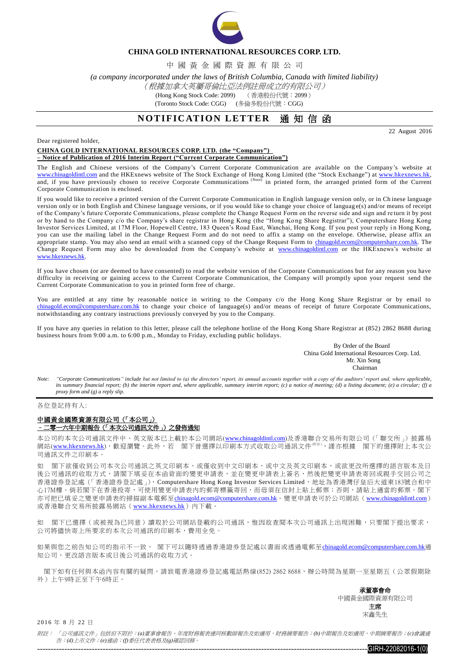

### **CHINA GOLD INTERNATIONAL RESOURCES CORP. LTD.**

中 國 黃 金 國 際 資 源 有 限 公 司

*(a company incorporated under the laws of British Columbia, Canada with limited liability)*

### (根據加拿大英屬哥倫比亞法例註冊成立的有限公司)

(Hong Kong Stock Code: 2099) (香港股份代號:2099)

(Toronto Stock Code: CGG) (多倫多股份代號:CGG)

# **NOTIFICATION LETTER** 通知信函

22 August 2016

Dear registered holder,

**CHINA GOLD INTERNATIONAL RESOURCES CORP. LTD. (the "Company") – Notice of Publication of 2016 Interim Report ("Current Corporate Communication")**

The English and Chinese versions of the Company's Current Corporate Communication are available on the Company's website at [www.chinagoldintl.com](http://www.chinagoldintl.com/) and the HKExnews website of The Stock Exchange of Hong Kong Limited (the "Stock Exchange") at [www.hkexnews.hk,](http://www.hkexnews.hk/index.htm)  and, if you have previously chosen to receive Corporate Communications (Note) in printed form, the arranged printed form of the Current Corporate Communication is enclosed.

If you would like to receive a printed version of the Current Corporate Communication in English language version only, or in Ch inese language version only or in both English and Chinese language versions, or if you would like to change your choice of languag e(s) and/or means of receipt of the Company's future Corporate Communications, please complete the Change Request Form on the reverse side and sign and re turn it by post or by hand to the Company c/o the Company's share registrar in Hong Kong (the "Hong Ko ng Share Registrar"), Computershare Hong Kong Investor Services Limited, at 17M Floor, Hopewell Centre, 183 Queen's Road East, Wanchai, Hong Kong. If you post your reply i n Hong Kong, you can use the mailing label in the Change Request Form and do not need to affix a stamp on the envelope. Otherwise, please affix an appropriate stamp. You may also send an email with a scanned copy of the Change Request Form to [chinagold.ecom@computershare.com.hk.](mailto:sanmiguel.ecom@computershare.com.hk) The Change Request Form may also be downloaded from the Company's website at [www.chinagoldintl.com](http://www.chinagoldintl.com/) or the HKExnews's website at [www.hkexnews.hk.](http://www.hkexnews.hk/) 

If you have chosen (or are deemed to have consented) to read the website version of the Corporate Communications but for any reason you have difficulty in receiving or gaining access to the Current Corporate Communication, the Company will promptly upon your request send the Current Corporate Communication to you in printed form free of charge.

You are entitled at any time by reasonable notice in writing to the Company c/o the Hong Kong Share Registrar or by email to [chinagold.ecom@computershare.com.hk](mailto:sanmiguel.ecom@computershare.com.hk) to change your choice of language(s) and/or means of receipt of future Corporate Communications, notwithstanding any contrary instructions previously conveyed by you to the Company.

If you have any queries in relation to this letter, please call the telephone hotline of the Hong Kong Share Registrar at (852) 2862 8688 during business hours from 9:00 a.m. to 6:00 p.m., Monday to Friday, excluding public holidays.

> By Order of the Board China Gold International Resources Corp. Ltd. Mr. Xin Song **Chairman**

*Note: "Corporate Communications" include but not limited to (a) the directors' report, its annual accounts together with a copy of the auditors' report and, where applicable, its summary financial report; (b) the interim report and, where applicable, summary interim report; (c) a notice of meeting; (d) a listing document; (e) a circular; (f) a proxy form and (g) a reply slip.*

各位登記持有人:

#### 中國黃金國際資源有限公司(「本公司」) –二零一六年中期報告(「本次公司通訊文件」)之發佈通知

本公司的本次公司通訊文件中、英文版本已上載於本公司網站([www.chinagoldintl.com](http://www.chinagoldintl.com/))及香港聯合交易所有限公司(「聯交所」)披露易 網站([www.hkexnews.hk](http://www.hkexnews.hk/index.htm)),歡迎瀏覽。此外,若 閣下曾選擇以印刷本方式收取公司通訊文件《##》,謹亦根據 閣下的選擇附上本次公 司通訊文件之印刷本。

如 閣下欲僅收到公司本次公司通訊之英文印刷本,或僅收到中文印刷本,或中文及英文印刷本,或欲更改所選擇的語言版本及日 後公司通訊的收取方式,請閣下填妥在本函背面的變更申請表,並在變更申請表上簽名,然後把變更申請表寄回或親手交回公司之 香港證券登記處(「香港證券登記處」), Computershare Hong Kong Investor Services Limited,地址為香港灣仔皇后大道東183號合和中 心17M樓。倘若閣下在香港投寄,可使用變更申請表內的郵寄標籤寄回,而毋須在信封上貼上郵票;否則,請貼上適當的郵票。閣下 亦可把已填妥之變更申請表的掃描副本電郵至[chinagold.ecom@computershare.com.hk](mailto:sanmiguel.ecom@computershare.com.hk)。變更申請表可於公司網站([www.chinagoldintl.com](http://www.chinagoldintl.com/)) 或香港聯合交易所披露易網站([www.hkexnews.hk](http://www.hkexnews.hk/index.htm))內下載。

如 閣下已選擇(或被視為已同意)讀取於公司網站登載的公司通訊,惟因故查閱本次公司通訊上出現困難,只要閣下提出要求, 公司將儘快寄上所要求的本次公司通訊的印刷本,費用全免。

如果與您之前告知公司的指示不一致, 閣下可以隨時透過香港證券登記處以書面或透過電郵至[chinagold.ecom@computershare.com.hk](mailto:sanmiguel.ecom@computershare.com.hk)通 知公司,更改語言版本或日後公司通訊的收取方式。

閣下如有任何與本函內容有關的疑問,請致電香港證券登記處電話熱線(852) 2862 8688,辦公時間為星期一至星期五(公眾假期除 外)上午9時正至下午6時正。

> 承董事會命 中國黃金國際資源有限公司 主席 宋鑫先生

2016 年 8 月 22 日

附註: 「公司通訊文件」包括但不限於:*(a)*董事會報告、年度財務報表連同核數師報告及如適用,財務摘要報告;*(b)*中期報告及如適用,中期摘要報告;*(c)*會議通 告;*(d)*上市文件;*(e)*通函;*(f)*委任代表表格及*(g)*確認回條。